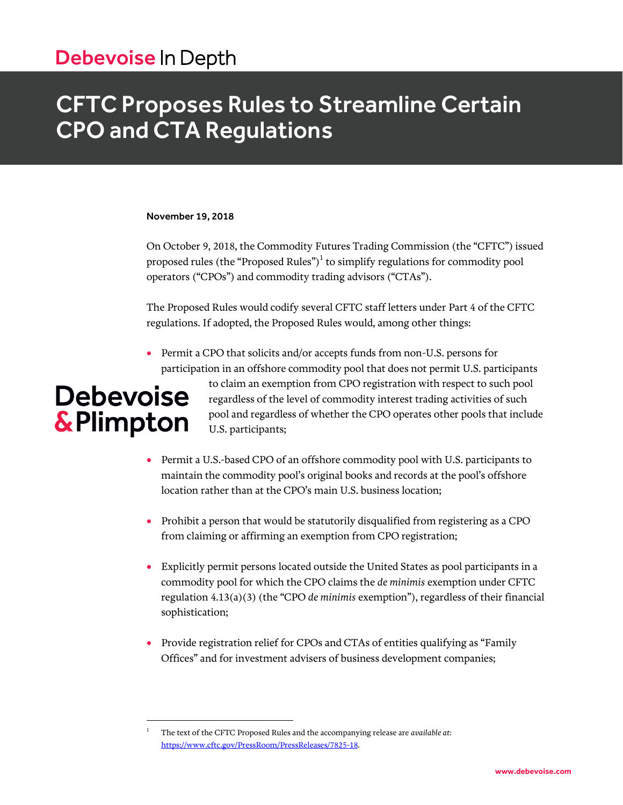## Debevoise In Depth

## CFTC Proposes Rules to Streamline Certain CPO and CTA Regulations

#### November 19, 2018

On October 9, 2018, the Commodity Futures Trading Commission (the "CFTC") issued proposed rules (the "Proposed Rules") $^1$  to simplify regulations for commodity pool operators ("CPOs") and commodity trading advisors ("CTAs").

The Proposed Rules would codify several CFTC staff letters under Part 4 of the CFTC regulations. If adopted, the Proposed Rules would, among other things:

• Permit a CPO that solicits and/or accepts funds from non-U.S. persons for participation in an offshore commodity pool that does not permit U.S. participants

# **Debevoise** & Plimpton

 $\overline{a}$ 

to claim an exemption from CPO registration with respect to such pool regardless of the level of commodity interest trading activities of such pool and regardless of whether the CPO operates other pools that include U.S. participants;

- Permit a U.S.-based CPO of an offshore commodity pool with U.S. participants to maintain the commodity pool's original books and records at the pool's offshore location rather than at the CPO's main U.S. business location;
- Prohibit a person that would be statutorily disqualified from registering as a CPO from claiming or affirming an exemption from CPO registration;
- Explicitly permit persons located outside the United States as pool participants in a commodity pool for which the CPO claims the *de minimis* exemption under CFTC regulation 4.13(a)(3) (the "CPO *de minimis* exemption"), regardless of their financial sophistication;
- Provide registration relief for CPOs and CTAs of entities qualifying as "Family Offices" and for investment advisers of business development companies;

<sup>1</sup> The text of the CFTC Proposed Rules and the accompanying release are *available at*: [https://www.cftc.gov/PressRoom/PressReleases/7825-18.](https://www.cftc.gov/PressRoom/PressReleases/7825-18)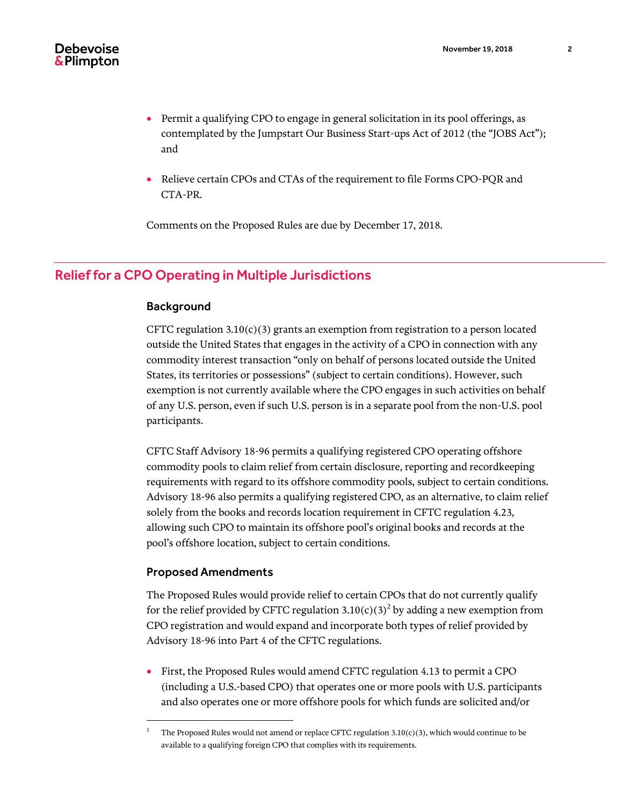- Permit a qualifying CPO to engage in general solicitation in its pool offerings, as contemplated by the Jumpstart Our Business Start-ups Act of 2012 (the "JOBS Act"); and
- Relieve certain CPOs and CTAs of the requirement to file Forms CPO-PQR and CTA-PR.

Comments on the Proposed Rules are due by December 17, 2018.

### Relief for a CPO Operating in Multiple Jurisdictions

### Background

CFTC regulation  $3.10(c)(3)$  grants an exemption from registration to a person located outside the United States that engages in the activity of a CPO in connection with any commodity interest transaction "only on behalf of persons located outside the United States, its territories or possessions" (subject to certain conditions). However, such exemption is not currently available where the CPO engages in such activities on behalf of any U.S. person, even if such U.S. person is in a separate pool from the non-U.S. pool participants.

CFTC Staff Advisory 18-96 permits a qualifying registered CPO operating offshore commodity pools to claim relief from certain disclosure, reporting and recordkeeping requirements with regard to its offshore commodity pools, subject to certain conditions. Advisory 18-96 also permits a qualifying registered CPO, as an alternative, to claim relief solely from the books and records location requirement in CFTC regulation 4.23, allowing such CPO to maintain its offshore pool's original books and records at the pool's offshore location, subject to certain conditions.

### Proposed Amendments

 $\overline{a}$ 

The Proposed Rules would provide relief to certain CPOs that do not currently qualify for the relief provided by CFTC regulation 3.10(c)(3)<sup>2</sup> by adding a new exemption from CPO registration and would expand and incorporate both types of relief provided by Advisory 18-96 into Part 4 of the CFTC regulations.

 First, the Proposed Rules would amend CFTC regulation 4.13 to permit a CPO (including a U.S.-based CPO) that operates one or more pools with U.S. participants and also operates one or more offshore pools for which funds are solicited and/or

<sup>2</sup> The Proposed Rules would not amend or replace CFTC regulation 3.10(c)(3), which would continue to be available to a qualifying foreign CPO that complies with its requirements.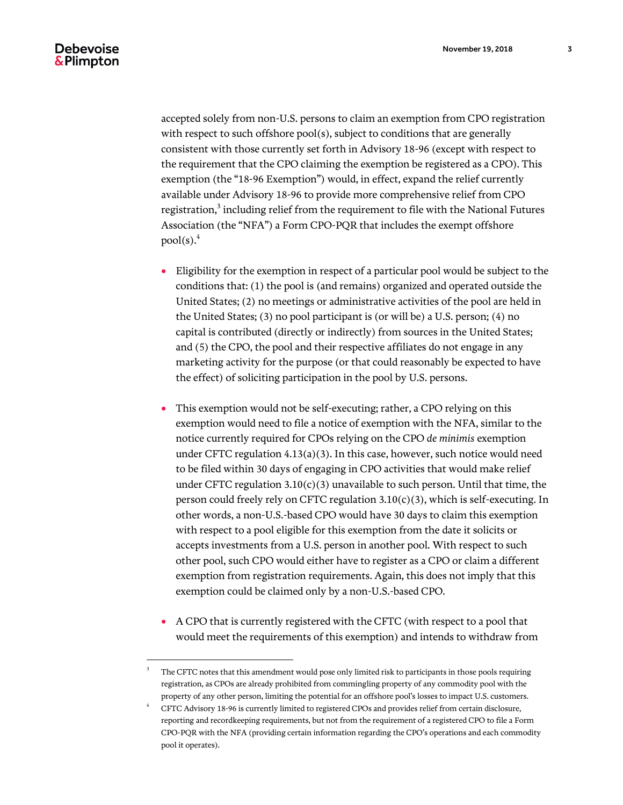l

accepted solely from non-U.S. persons to claim an exemption from CPO registration with respect to such offshore pool(s), subject to conditions that are generally consistent with those currently set forth in Advisory 18-96 (except with respect to the requirement that the CPO claiming the exemption be registered as a CPO). This exemption (the "18-96 Exemption") would, in effect, expand the relief currently available under Advisory 18-96 to provide more comprehensive relief from CPO registration, $^3$  including relief from the requirement to file with the National Futures Association (the "NFA") a Form CPO-PQR that includes the exempt offshore  $pool(s)<sup>4</sup>$ 

- Eligibility for the exemption in respect of a particular pool would be subject to the conditions that: (1) the pool is (and remains) organized and operated outside the United States; (2) no meetings or administrative activities of the pool are held in the United States; (3) no pool participant is (or will be) a U.S. person; (4) no capital is contributed (directly or indirectly) from sources in the United States; and (5) the CPO, the pool and their respective affiliates do not engage in any marketing activity for the purpose (or that could reasonably be expected to have the effect) of soliciting participation in the pool by U.S. persons.
- This exemption would not be self-executing; rather, a CPO relying on this exemption would need to file a notice of exemption with the NFA, similar to the notice currently required for CPOs relying on the CPO *de minimis* exemption under CFTC regulation 4.13(a)(3). In this case, however, such notice would need to be filed within 30 days of engaging in CPO activities that would make relief under CFTC regulation  $3.10(c)(3)$  unavailable to such person. Until that time, the person could freely rely on CFTC regulation  $3.10(c)(3)$ , which is self-executing. In other words, a non-U.S.-based CPO would have 30 days to claim this exemption with respect to a pool eligible for this exemption from the date it solicits or accepts investments from a U.S. person in another pool. With respect to such other pool, such CPO would either have to register as a CPO or claim a different exemption from registration requirements. Again, this does not imply that this exemption could be claimed only by a non-U.S.-based CPO.
- A CPO that is currently registered with the CFTC (with respect to a pool that would meet the requirements of this exemption) and intends to withdraw from

<sup>3</sup> The CFTC notes that this amendment would pose only limited risk to participants in those pools requiring registration, as CPOs are already prohibited from commingling property of any commodity pool with the property of any other person, limiting the potential for an offshore pool's losses to impact U.S. customers.

<sup>4</sup> CFTC Advisory 18-96 is currently limited to registered CPOs and provides relief from certain disclosure, reporting and recordkeeping requirements, but not from the requirement of a registered CPO to file a Form CPO-PQR with the NFA (providing certain information regarding the CPO's operations and each commodity pool it operates).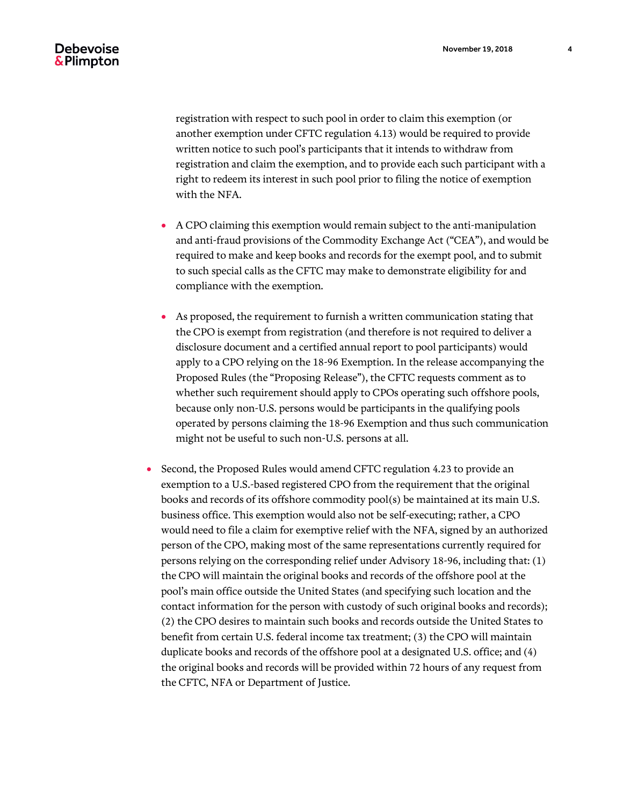registration with respect to such pool in order to claim this exemption (or another exemption under CFTC regulation 4.13) would be required to provide written notice to such pool's participants that it intends to withdraw from registration and claim the exemption, and to provide each such participant with a right to redeem its interest in such pool prior to filing the notice of exemption with the NFA.

- A CPO claiming this exemption would remain subject to the anti-manipulation and anti-fraud provisions of the Commodity Exchange Act ("CEA"), and would be required to make and keep books and records for the exempt pool, and to submit to such special calls as the CFTC may make to demonstrate eligibility for and compliance with the exemption.
- As proposed, the requirement to furnish a written communication stating that the CPO is exempt from registration (and therefore is not required to deliver a disclosure document and a certified annual report to pool participants) would apply to a CPO relying on the 18-96 Exemption. In the release accompanying the Proposed Rules (the "Proposing Release"), the CFTC requests comment as to whether such requirement should apply to CPOs operating such offshore pools, because only non-U.S. persons would be participants in the qualifying pools operated by persons claiming the 18-96 Exemption and thus such communication might not be useful to such non-U.S. persons at all.
- Second, the Proposed Rules would amend CFTC regulation 4.23 to provide an exemption to a U.S.-based registered CPO from the requirement that the original books and records of its offshore commodity pool(s) be maintained at its main U.S. business office. This exemption would also not be self-executing; rather, a CPO would need to file a claim for exemptive relief with the NFA, signed by an authorized person of the CPO, making most of the same representations currently required for persons relying on the corresponding relief under Advisory 18-96, including that: (1) the CPO will maintain the original books and records of the offshore pool at the pool's main office outside the United States (and specifying such location and the contact information for the person with custody of such original books and records); (2) the CPO desires to maintain such books and records outside the United States to benefit from certain U.S. federal income tax treatment; (3) the CPO will maintain duplicate books and records of the offshore pool at a designated U.S. office; and (4) the original books and records will be provided within 72 hours of any request from the CFTC, NFA or Department of Justice.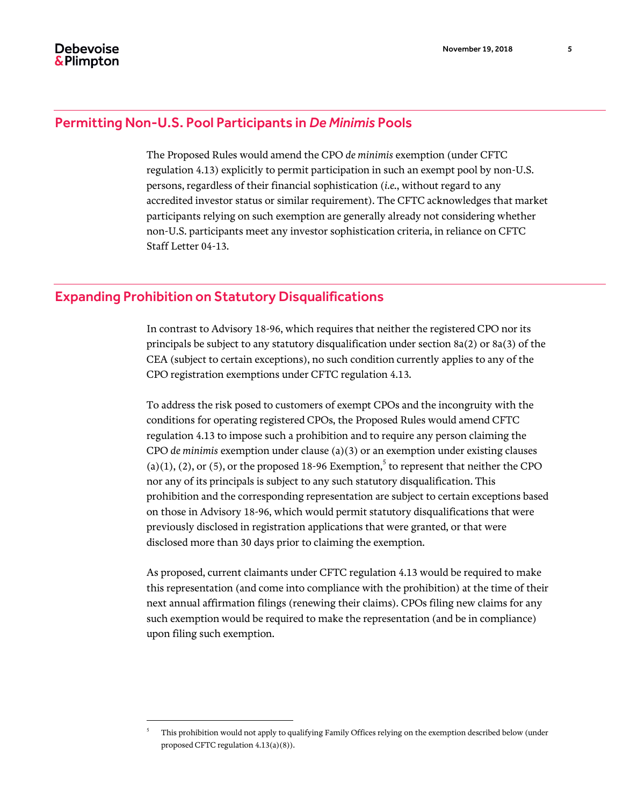### Permitting Non-U.S. Pool Participants in *De Minimis* Pools

The Proposed Rules would amend the CPO *de minimis* exemption (under CFTC regulation 4.13) explicitly to permit participation in such an exempt pool by non-U.S. persons, regardless of their financial sophistication (*i.e.*, without regard to any accredited investor status or similar requirement). The CFTC acknowledges that market participants relying on such exemption are generally already not considering whether non-U.S. participants meet any investor sophistication criteria, in reliance on CFTC Staff Letter 04-13.

### Expanding Prohibition on Statutory Disqualifications

 $\overline{a}$ 

In contrast to Advisory 18-96, which requires that neither the registered CPO nor its principals be subject to any statutory disqualification under section 8a(2) or 8a(3) of the CEA (subject to certain exceptions), no such condition currently applies to any of the CPO registration exemptions under CFTC regulation 4.13.

To address the risk posed to customers of exempt CPOs and the incongruity with the conditions for operating registered CPOs, the Proposed Rules would amend CFTC regulation 4.13 to impose such a prohibition and to require any person claiming the CPO *de minimis* exemption under clause (a)(3) or an exemption under existing clauses (a)(1), (2), or (5), or the proposed 18-96 Exemption,<sup>5</sup> to represent that neither the CPO nor any of its principals is subject to any such statutory disqualification. This prohibition and the corresponding representation are subject to certain exceptions based on those in Advisory 18-96, which would permit statutory disqualifications that were previously disclosed in registration applications that were granted, or that were disclosed more than 30 days prior to claiming the exemption.

As proposed, current claimants under CFTC regulation 4.13 would be required to make this representation (and come into compliance with the prohibition) at the time of their next annual affirmation filings (renewing their claims). CPOs filing new claims for any such exemption would be required to make the representation (and be in compliance) upon filing such exemption.

<sup>5</sup> This prohibition would not apply to qualifying Family Offices relying on the exemption described below (under proposed CFTC regulation 4.13(a)(8)).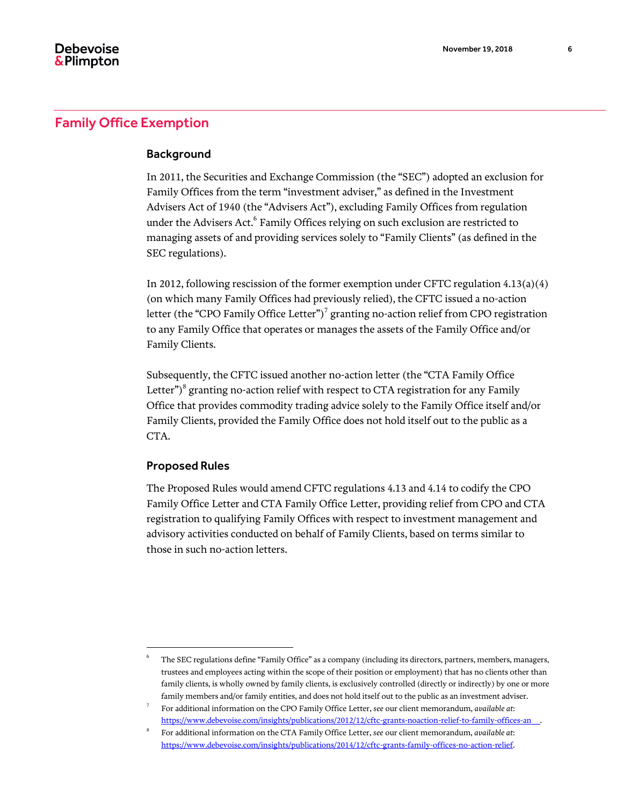#### Background

In 2011, the Securities and Exchange Commission (the "SEC") adopted an exclusion for Family Offices from the term "investment adviser," as defined in the Investment Advisers Act of 1940 (the "Advisers Act"), excluding Family Offices from regulation under the Advisers Act.<sup>6</sup> Family Offices relying on such exclusion are restricted to managing assets of and providing services solely to "Family Clients" (as defined in the SEC regulations).

In 2012, following rescission of the former exemption under CFTC regulation 4.13(a)(4) (on which many Family Offices had previously relied), the CFTC issued a no-action letter (the "CPO Family Office Letter") $^7$  granting no-action relief from CPO registration to any Family Office that operates or manages the assets of the Family Office and/or Family Clients.

Subsequently, the CFTC issued another no-action letter (the "CTA Family Office Letter") $^8$  granting no-action relief with respect to CTA registration for any Family Office that provides commodity trading advice solely to the Family Office itself and/or Family Clients, provided the Family Office does not hold itself out to the public as a CTA.

### Proposed Rules

l

The Proposed Rules would amend CFTC regulations 4.13 and 4.14 to codify the CPO Family Office Letter and CTA Family Office Letter, providing relief from CPO and CTA registration to qualifying Family Offices with respect to investment management and advisory activities conducted on behalf of Family Clients, based on terms similar to those in such no-action letters.

<sup>6</sup> The SEC regulations define "Family Office" as a company (including its directors, partners, members, managers, trustees and employees acting within the scope of their position or employment) that has no clients other than family clients, is wholly owned by family clients, is exclusively controlled (directly or indirectly) by one or more family members and/or family entities, and does not hold itself out to the public as an investment adviser.

<sup>7</sup> For additional information on the CPO Family Office Letter, *see* our client memorandum, *available at*: [https://www.debevoise.com/insights/publications/2012/12/cftc-grants-noaction-relief-to-family-offices-an\\_\\_.](https://www.debevoise.com/insights/publications/2012/12/cftc-grants-noaction-relief-to-family-offices-an__)

<sup>8</sup> For additional information on the CTA Family Office Letter, *see* our client memorandum, *available at*: [https://www.debevoise.com/insights/publications/2014/12/cftc-grants-family-offices-no-action-relief.](https://www.debevoise.com/insights/publications/2014/12/cftc-grants-family-offices-no-action-relief)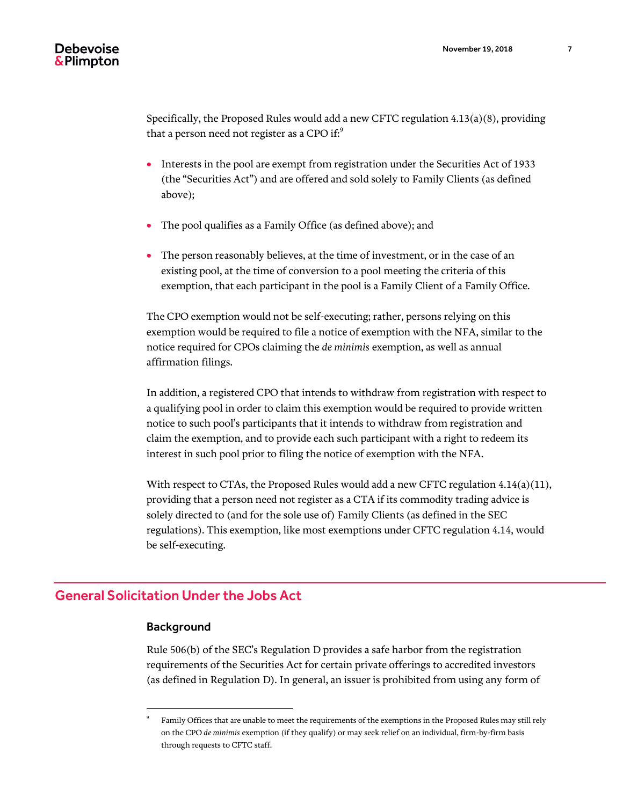Specifically, the Proposed Rules would add a new CFTC regulation 4.13(a)(8), providing that a person need not register as a CPO if: $9$ 

- Interests in the pool are exempt from registration under the Securities Act of 1933 (the "Securities Act") and are offered and sold solely to Family Clients (as defined above);
- The pool qualifies as a Family Office (as defined above); and
- The person reasonably believes, at the time of investment, or in the case of an existing pool, at the time of conversion to a pool meeting the criteria of this exemption, that each participant in the pool is a Family Client of a Family Office.

The CPO exemption would not be self-executing; rather, persons relying on this exemption would be required to file a notice of exemption with the NFA, similar to the notice required for CPOs claiming the *de minimis* exemption, as well as annual affirmation filings.

In addition, a registered CPO that intends to withdraw from registration with respect to a qualifying pool in order to claim this exemption would be required to provide written notice to such pool's participants that it intends to withdraw from registration and claim the exemption, and to provide each such participant with a right to redeem its interest in such pool prior to filing the notice of exemption with the NFA.

With respect to CTAs, the Proposed Rules would add a new CFTC regulation  $4.14(a)(11)$ , providing that a person need not register as a CTA if its commodity trading advice is solely directed to (and for the sole use of) Family Clients (as defined in the SEC regulations). This exemption, like most exemptions under CFTC regulation 4.14, would be self-executing.

### General Solicitation Under the Jobs Act

### **Background**

 $\overline{a}$ 

Rule 506(b) of the SEC's Regulation D provides a safe harbor from the registration requirements of the Securities Act for certain private offerings to accredited investors (as defined in Regulation D). In general, an issuer is prohibited from using any form of

<sup>9</sup> Family Offices that are unable to meet the requirements of the exemptions in the Proposed Rules may still rely on the CPO *de minimis* exemption (if they qualify) or may seek relief on an individual, firm-by-firm basis through requests to CFTC staff.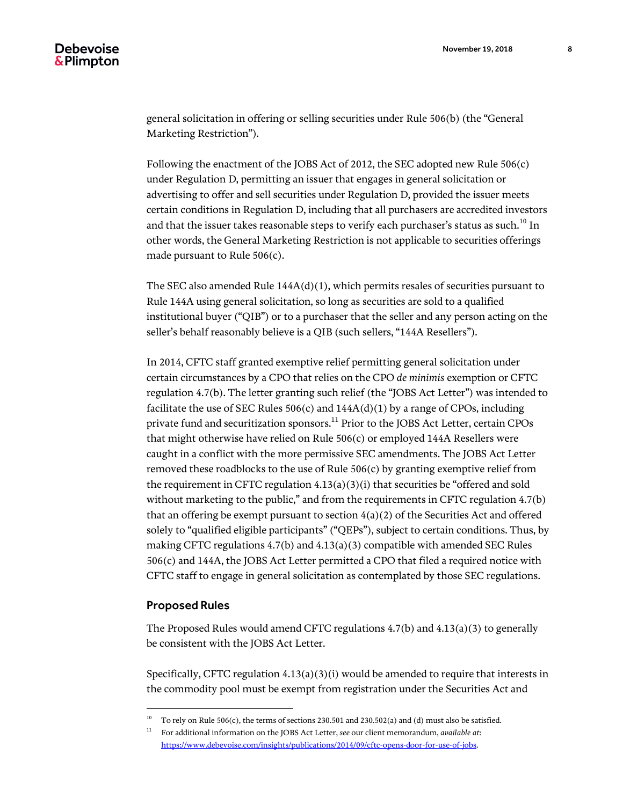general solicitation in offering or selling securities under Rule 506(b) (the "General Marketing Restriction").

Following the enactment of the JOBS Act of 2012, the SEC adopted new Rule 506(c) under Regulation D, permitting an issuer that engages in general solicitation or advertising to offer and sell securities under Regulation D, provided the issuer meets certain conditions in Regulation D, including that all purchasers are accredited investors and that the issuer takes reasonable steps to verify each purchaser's status as such.<sup>10</sup> In other words, the General Marketing Restriction is not applicable to securities offerings made pursuant to Rule 506(c).

The SEC also amended Rule  $144A(d)(1)$ , which permits resales of securities pursuant to Rule 144A using general solicitation, so long as securities are sold to a qualified institutional buyer ("QIB") or to a purchaser that the seller and any person acting on the seller's behalf reasonably believe is a QIB (such sellers, "144A Resellers").

In 2014, CFTC staff granted exemptive relief permitting general solicitation under certain circumstances by a CPO that relies on the CPO *de minimis* exemption or CFTC regulation 4.7(b). The letter granting such relief (the "JOBS Act Letter") was intended to facilitate the use of SEC Rules  $506(c)$  and  $144A(d)(1)$  by a range of CPOs, including private fund and securitization sponsors.<sup>11</sup> Prior to the JOBS Act Letter, certain CPOs that might otherwise have relied on Rule 506(c) or employed 144A Resellers were caught in a conflict with the more permissive SEC amendments. The JOBS Act Letter removed these roadblocks to the use of Rule 506(c) by granting exemptive relief from the requirement in CFTC regulation  $4.13(a)(3)(i)$  that securities be "offered and sold without marketing to the public," and from the requirements in CFTC regulation 4.7(b) that an offering be exempt pursuant to section  $4(a)(2)$  of the Securities Act and offered solely to "qualified eligible participants" ("QEPs"), subject to certain conditions. Thus, by making CFTC regulations 4.7(b) and 4.13(a)(3) compatible with amended SEC Rules 506(c) and 144A, the JOBS Act Letter permitted a CPO that filed a required notice with CFTC staff to engage in general solicitation as contemplated by those SEC regulations.

#### Proposed Rules

 $\overline{a}$ 

The Proposed Rules would amend CFTC regulations 4.7(b) and 4.13(a)(3) to generally be consistent with the JOBS Act Letter.

Specifically, CFTC regulation  $4.13(a)(3)(i)$  would be amended to require that interests in the commodity pool must be exempt from registration under the Securities Act and

<sup>10</sup> To rely on Rule 506(c), the terms of sections 230.501 and 230.502(a) and (d) must also be satisfied.

<sup>11</sup> For additional information on the JOBS Act Letter, *see* our client memorandum, *available at*: [https://www.debevoise.com/insights/publications/2014/09/cftc-opens-door-for-use-of-jobs.](https://www.debevoise.com/insights/publications/2014/09/cftc-opens-door-for-use-of-jobs)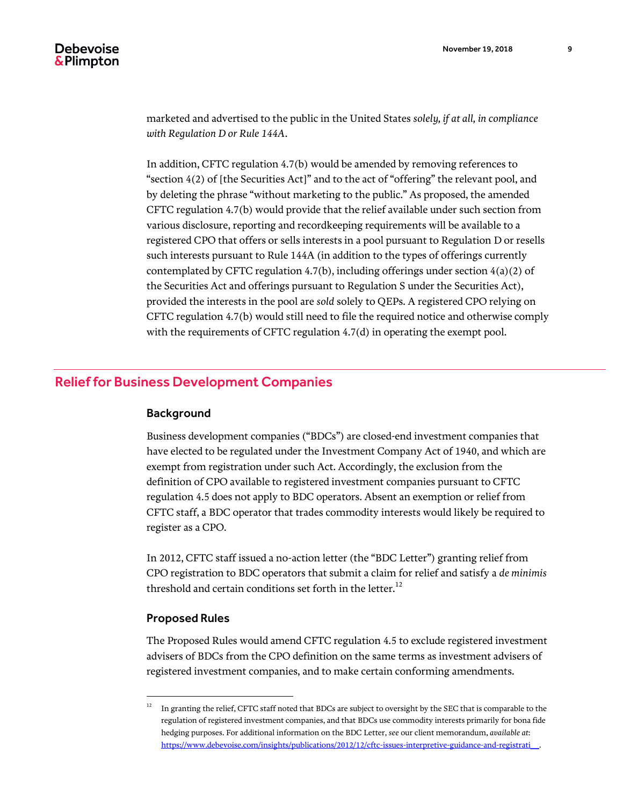marketed and advertised to the public in the United States *solely, if at all, in compliance with Regulation D or Rule 144A*.

In addition, CFTC regulation 4.7(b) would be amended by removing references to "section 4(2) of [the Securities Act]" and to the act of "offering" the relevant pool, and by deleting the phrase "without marketing to the public." As proposed, the amended CFTC regulation 4.7(b) would provide that the relief available under such section from various disclosure, reporting and recordkeeping requirements will be available to a registered CPO that offers or sells interests in a pool pursuant to Regulation D or resells such interests pursuant to Rule 144A (in addition to the types of offerings currently contemplated by CFTC regulation 4.7(b), including offerings under section  $4(a)(2)$  of the Securities Act and offerings pursuant to Regulation S under the Securities Act), provided the interests in the pool are *sold* solely to QEPs. A registered CPO relying on CFTC regulation 4.7(b) would still need to file the required notice and otherwise comply with the requirements of CFTC regulation 4.7(d) in operating the exempt pool.

### Relief for Business Development Companies

#### Background

Business development companies ("BDCs") are closed-end investment companies that have elected to be regulated under the Investment Company Act of 1940, and which are exempt from registration under such Act. Accordingly, the exclusion from the definition of CPO available to registered investment companies pursuant to CFTC regulation 4.5 does not apply to BDC operators. Absent an exemption or relief from CFTC staff, a BDC operator that trades commodity interests would likely be required to register as a CPO.

In 2012, CFTC staff issued a no-action letter (the "BDC Letter") granting relief from CPO registration to BDC operators that submit a claim for relief and satisfy a *de minimis* threshold and certain conditions set forth in the letter.<sup>12</sup>

### Proposed Rules

l

The Proposed Rules would amend CFTC regulation 4.5 to exclude registered investment advisers of BDCs from the CPO definition on the same terms as investment advisers of registered investment companies, and to make certain conforming amendments.

<sup>12</sup> In granting the relief, CFTC staff noted that BDCs are subject to oversight by the SEC that is comparable to the regulation of registered investment companies, and that BDCs use commodity interests primarily for bona fide hedging purposes. For additional information on the BDC Letter, *see* our client memorandum, *available at*: [https://www.debevoise.com/insights/publications/2012/12/cftc-issues-interpretive-guidance-and-registrati\\_\\_.](https://www.debevoise.com/insights/publications/2012/12/cftc-issues-interpretive-guidance-and-registrati__)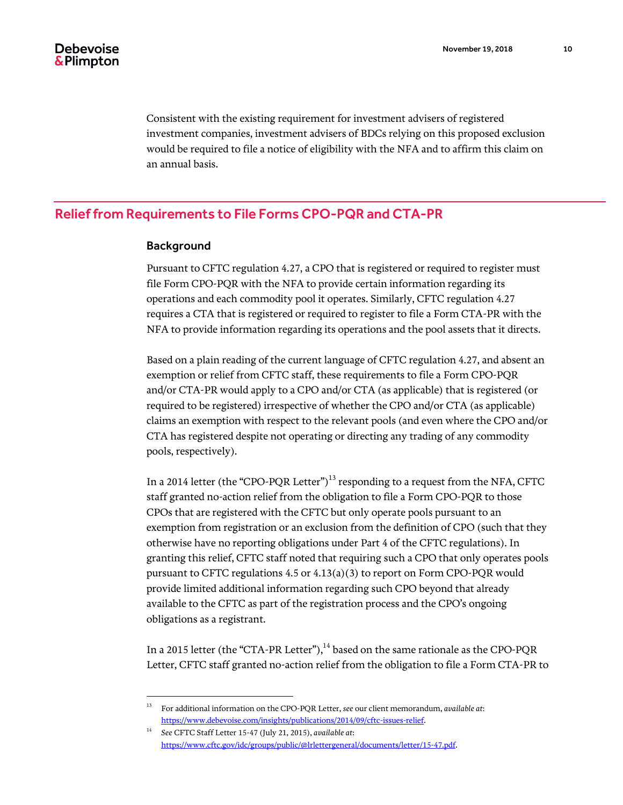Consistent with the existing requirement for investment advisers of registered investment companies, investment advisers of BDCs relying on this proposed exclusion would be required to file a notice of eligibility with the NFA and to affirm this claim on an annual basis.

### Relief from Requirements to File Forms CPO-PQR and CTA-PR

### Background

l

Pursuant to CFTC regulation 4.27, a CPO that is registered or required to register must file Form CPO-PQR with the NFA to provide certain information regarding its operations and each commodity pool it operates. Similarly, CFTC regulation 4.27 requires a CTA that is registered or required to register to file a Form CTA-PR with the NFA to provide information regarding its operations and the pool assets that it directs.

Based on a plain reading of the current language of CFTC regulation 4.27, and absent an exemption or relief from CFTC staff, these requirements to file a Form CPO-PQR and/or CTA-PR would apply to a CPO and/or CTA (as applicable) that is registered (or required to be registered) irrespective of whether the CPO and/or CTA (as applicable) claims an exemption with respect to the relevant pools (and even where the CPO and/or CTA has registered despite not operating or directing any trading of any commodity pools, respectively).

In a 2014 letter (the "CPO-PQR Letter")<sup>13</sup> responding to a request from the NFA, CFTC staff granted no-action relief from the obligation to file a Form CPO-PQR to those CPOs that are registered with the CFTC but only operate pools pursuant to an exemption from registration or an exclusion from the definition of CPO (such that they otherwise have no reporting obligations under Part 4 of the CFTC regulations). In granting this relief, CFTC staff noted that requiring such a CPO that only operates pools pursuant to CFTC regulations 4.5 or 4.13(a)(3) to report on Form CPO-PQR would provide limited additional information regarding such CPO beyond that already available to the CFTC as part of the registration process and the CPO's ongoing obligations as a registrant.

In a 2015 letter (the "CTA-PR Letter"), $14$  based on the same rationale as the CPO-PQR Letter, CFTC staff granted no-action relief from the obligation to file a Form CTA-PR to

<sup>13</sup> For additional information on the CPO-PQR Letter, *see* our client memorandum, *available at*: [https://www.debevoise.com/insights/publications/2014/09/cftc-issues-relief.](https://www.debevoise.com/insights/publications/2014/09/cftc-issues-relief)

<sup>14</sup> *See* CFTC Staff Letter 15-47 (July 21, 2015), *available at*: [https://www.cftc.gov/idc/groups/public/@lrlettergeneral/documents/letter/15-47.pdf.](https://www.cftc.gov/idc/groups/public/@lrlettergeneral/documents/letter/15-47.pdf)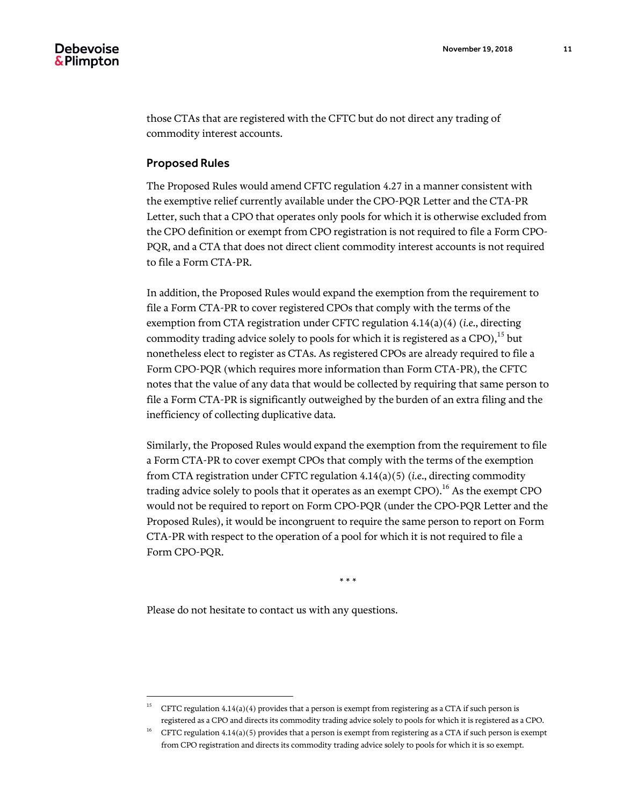those CTAs that are registered with the CFTC but do not direct any trading of commodity interest accounts.

#### Proposed Rules

The Proposed Rules would amend CFTC regulation 4.27 in a manner consistent with the exemptive relief currently available under the CPO-PQR Letter and the CTA-PR Letter, such that a CPO that operates only pools for which it is otherwise excluded from the CPO definition or exempt from CPO registration is not required to file a Form CPO-PQR, and a CTA that does not direct client commodity interest accounts is not required to file a Form CTA-PR.

In addition, the Proposed Rules would expand the exemption from the requirement to file a Form CTA-PR to cover registered CPOs that comply with the terms of the exemption from CTA registration under CFTC regulation 4.14(a)(4) (*i.e.*, directing commodity trading advice solely to pools for which it is registered as a CPO),<sup>15</sup> but nonetheless elect to register as CTAs. As registered CPOs are already required to file a Form CPO-PQR (which requires more information than Form CTA-PR), the CFTC notes that the value of any data that would be collected by requiring that same person to file a Form CTA-PR is significantly outweighed by the burden of an extra filing and the inefficiency of collecting duplicative data.

Similarly, the Proposed Rules would expand the exemption from the requirement to file a Form CTA-PR to cover exempt CPOs that comply with the terms of the exemption from CTA registration under CFTC regulation 4.14(a)(5) (*i.e.*, directing commodity trading advice solely to pools that it operates as an exempt CPO).<sup>16</sup> As the exempt CPO would not be required to report on Form CPO-PQR (under the CPO-PQR Letter and the Proposed Rules), it would be incongruent to require the same person to report on Form CTA-PR with respect to the operation of a pool for which it is not required to file a Form CPO-PQR.

\* \* \*

Please do not hesitate to contact us with any questions.

l

<sup>&</sup>lt;sup>15</sup> CFTC regulation 4.14(a)(4) provides that a person is exempt from registering as a CTA if such person is registered as a CPO and directs its commodity trading advice solely to pools for which it is registered as a CPO.

<sup>&</sup>lt;sup>16</sup> CFTC regulation 4.14(a)(5) provides that a person is exempt from registering as a CTA if such person is exempt from CPO registration and directs its commodity trading advice solely to pools for which it is so exempt.